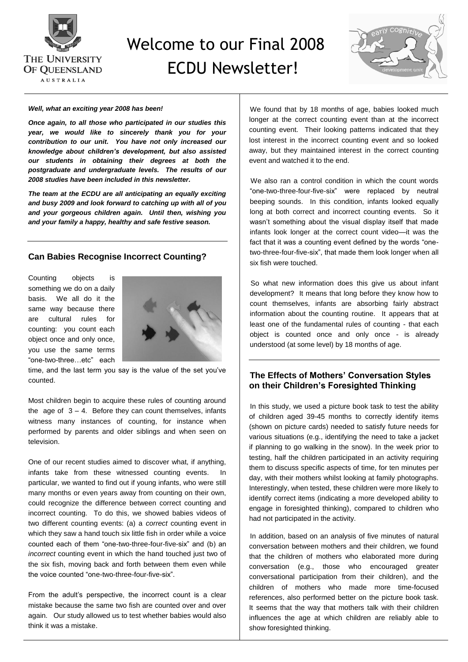

# Welcome to our Final 2008 ECDU Newsletter!



#### *Well, what an exciting year 2008 has been!*

*Once again, to all those who participated in our studies this year, we would like to sincerely thank you for your contribution to our unit. You have not only increased our knowledge about children's development, but also assisted our students in obtaining their degrees at both the postgraduate and undergraduate levels. The results of our 2008 studies have been included in this newsletter.*

*The team at the ECDU are all anticipating an equally exciting and busy 2009 and look forward to catching up with all of you and your gorgeous children again. Until then, wishing you and your family a happy, healthy and safe festive season.*

## **Can Babies Recognise Incorrect Counting?**

Counting objects is something we do on a daily basis. We all do it the same way because there are cultural rules for counting: you count each object once and only once, you use the same terms ―one-two-three…etc‖ each



time, and the last term you say is the value of the set you've counted.

Most children begin to acquire these rules of counting around the  $a^2 - 3 - 4$ . Before they can count themselves, infants witness many instances of counting, for instance when performed by parents and older siblings and when seen on television.

One of our recent studies aimed to discover what, if anything, infants take from these witnessed counting events. In particular, we wanted to find out if young infants, who were still many months or even years away from counting on their own, could recognize the difference between correct counting and incorrect counting. To do this, we showed babies videos of two different counting events: (a) a *correct* counting event in which they saw a hand touch six little fish in order while a voice counted each of them "one-two-three-four-five-six" and (b) an *incorrect* counting event in which the hand touched just two of the six fish, moving back and forth between them even while the voice counted "one-two-three-four-five-six".

From the adult's perspective, the incorrect count is a clear mistake because the same two fish are counted over and over again. Our study allowed us to test whether babies would also think it was a mistake.

We found that by 18 months of age, babies looked much longer at the correct counting event than at the incorrect counting event. Their looking patterns indicated that they lost interest in the incorrect counting event and so looked away, but they maintained interest in the correct counting event and watched it to the end.

We also ran a control condition in which the count words "one-two-three-four-five-six" were replaced by neutral beeping sounds. In this condition, infants looked equally long at both correct and incorrect counting events. So it wasn't something about the visual display itself that made infants look longer at the correct count video—it was the fact that it was a counting event defined by the words "onetwo-three-four-five-six", that made them look longer when all six fish were touched.

So what new information does this give us about infant development? It means that long before they know how to count themselves, infants are absorbing fairly abstract information about the counting routine. It appears that at least one of the fundamental rules of counting - that each object is counted once and only once - is already understood (at some level) by 18 months of age.

## **The Effects of Mothers' Conversation Styles on their Children's Foresighted Thinking**

In this study, we used a picture book task to test the ability of children aged 39-45 months to correctly identify items (shown on picture cards) needed to satisfy future needs for various situations (e.g., identifying the need to take a jacket if planning to go walking in the snow). In the week prior to testing, half the children participated in an activity requiring them to discuss specific aspects of time, for ten minutes per day, with their mothers whilst looking at family photographs. Interestingly, when tested, these children were more likely to identify correct items (indicating a more developed ability to engage in foresighted thinking), compared to children who had not participated in the activity.

In addition, based on an analysis of five minutes of natural conversation between mothers and their children, we found that the children of mothers who elaborated more during conversation (e.g., those who encouraged greater conversational participation from their children), and the children of mothers who made more time-focused references, also performed better on the picture book task. It seems that the way that mothers talk with their children influences the age at which children are reliably able to show foresighted thinking.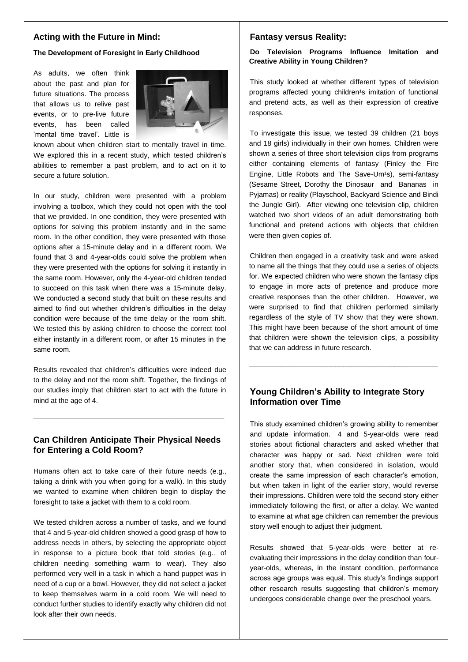## **Acting with the Future in Mind:**

**The Development of Foresight in Early Childhood**

As adults, we often think about the past and plan for future situations. The process that allows us to relive past events, or to pre-live future events, has been called 'mental time travel'. Little is



known about when children start to mentally travel in time. We explored this in a recent study, which tested children's abilities to remember a past problem, and to act on it to secure a future solution.

In our study, children were presented with a problem involving a toolbox, which they could not open with the tool that we provided. In one condition, they were presented with options for solving this problem instantly and in the same room. In the other condition, they were presented with those options after a 15-minute delay and in a different room. We found that 3 and 4-year-olds could solve the problem when they were presented with the options for solving it instantly in the same room. However, only the 4-year-old children tended to succeed on this task when there was a 15-minute delay. We conducted a second study that built on these results and aimed to find out whether children's difficulties in the delay condition were because of the time delay or the room shift. We tested this by asking children to choose the correct tool either instantly in a different room, or after 15 minutes in the same room.

Results revealed that children's difficulties were indeed due to the delay and not the room shift. Together, the findings of our studies imply that children start to act with the future in mind at the age of 4.

## **Can Children Anticipate Their Physical Needs for Entering a Cold Room?**

\_\_\_\_\_\_\_\_\_\_\_\_\_\_\_\_\_\_\_\_\_\_\_\_\_\_\_\_\_\_\_\_\_\_\_\_\_\_\_\_\_\_\_\_\_\_\_\_\_\_\_\_\_\_

Humans often act to take care of their future needs (e.g., taking a drink with you when going for a walk). In this study we wanted to examine when children begin to display the foresight to take a jacket with them to a cold room.

We tested children across a number of tasks, and we found that 4 and 5-year-old children showed a good grasp of how to address needs in others, by selecting the appropriate object in response to a picture book that told stories (e.g., of children needing something warm to wear). They also performed very well in a task in which a hand puppet was in need of a cup or a bowl. However, they did not select a jacket to keep themselves warm in a cold room. We will need to conduct further studies to identify exactly why children did not look after their own needs.

#### **Fantasy versus Reality:**

### **Do Television Programs Influence Imitation and Creative Ability in Young Children?**

This study looked at whether different types of television programs affected young children<sup>1</sup>s imitation of functional and pretend acts, as well as their expression of creative responses.

To investigate this issue, we tested 39 children (21 boys and 18 girls) individually in their own homes. Children were shown a series of three short television clips from programs either containing elements of fantasy (Finley the Fire Engine, Little Robots and The Save-Um<sup>1</sup>s), semi-fantasy (Sesame Street, Dorothy the Dinosaur and Bananas in Pyjamas) or reality (Playschool, Backyard Science and Bindi the Jungle Girl). After viewing one television clip, children watched two short videos of an adult demonstrating both functional and pretend actions with objects that children were then given copies of.

Children then engaged in a creativity task and were asked to name all the things that they could use a series of objects for. We expected children who were shown the fantasy clips to engage in more acts of pretence and produce more creative responses than the other children. However, we were surprised to find that children performed similarly regardless of the style of TV show that they were shown. This might have been because of the short amount of time that children were shown the television clips, a possibility that we can address in future research.

## **Young Children's Ability to Integrate Story Information over Time**

\_\_\_\_\_\_\_\_\_\_\_\_\_\_\_\_\_\_\_\_\_\_\_\_\_\_\_\_\_\_\_\_\_\_\_\_\_\_\_\_\_\_\_\_\_\_\_\_

This study examined children's growing ability to remember and update information. 4 and 5-year-olds were read stories about fictional characters and asked whether that character was happy or sad. Next children were told another story that, when considered in isolation, would create the same impression of each character's emotion, but when taken in light of the earlier story, would reverse their impressions. Children were told the second story either immediately following the first, or after a delay. We wanted to examine at what age children can remember the previous story well enough to adjust their judgment.

Results showed that 5-year-olds were better at reevaluating their impressions in the delay condition than fouryear-olds, whereas, in the instant condition, performance across age groups was equal. This study's findings support other research results suggesting that children's memory undergoes considerable change over the preschool years.